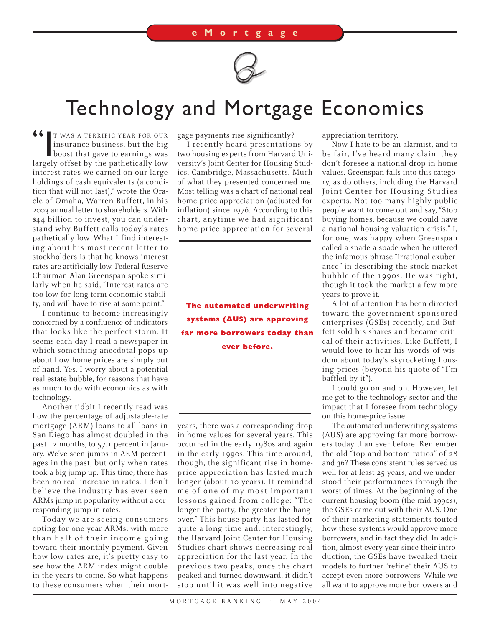

## Technology and Mortgage Economics

**66** T WAS A TERRIFIC YEAR FOR OUR<br>insurance business, but the big<br>boost that gave to earnings was<br>largely offset by the pathetically low insurance business, but the big boost that gave to earnings was largely offset by the pathetically low interest rates we earned on our large holdings of cash equivalents (a condition that will not last)," wrote the Oracle of Omaha, Warren Buffett, in his 2003 annual letter to shareholders. With \$44 billion to invest, you can understand why Buffett calls today's rates pathetically low. What I find interesting about his most recent letter to stockholders is that he knows interest rates are artificially low. Federal Reserve Chairman Alan Greenspan spoke similarly when he said, "Interest rates are too low for long-term economic stability, and will have to rise at some point."

I continue to become increasingly concerned by a confluence of indicators that looks like the perfect storm. It seems each day I read a newspaper in which something anecdotal pops up about how home prices are simply out of hand. Yes, I worry about a potential real estate bubble, for reasons that have as much to do with economics as with technology.

Another tidbit I recently read was how the percentage of adjustable-rate mortgage (ARM) loans to all loans in San Diego has almost doubled in the past 12 months, to 57.1 percent in January. We've seen jumps in ARM percentages in the past, but only when rates took a big jump up. This time, there has been no real increase in rates. I don't believe the industry has ever seen ARMs jump in popularity without a corresponding jump in rates.

Today we are seeing consumers opting for one-year ARMs, with more than half of their income going toward their monthly payment. Given how low rates are, it's pretty easy to see how the ARM index might double in the years to come. So what happens to these consumers when their mortgage payments rise significantly?

I recently heard presentations by two housing experts from Harvard University's Joint Center for Housing Studies, Cambridge, Massachusetts. Much of what they presented concerned me. Most telling was a chart of national real home-price appreciation (adjusted for inflation) since 1976. According to this chart, anytime we had significant home-price appreciation for several

**The automated underwriting systems (AUS) are approving far more borrowers today than ever before.**

years, there was a corresponding drop in home values for several years. This occurred in the early 1980s and again in the early 1990s. This time around, though, the significant rise in homeprice appreciation has lasted much longer (about 10 years). It reminded me of one of my most important lessons gained from college: "The longer the party, the greater the hangover." This house party has lasted for quite a long time and, interestingly, the Harvard Joint Center for Housing Studies chart shows decreasing real appreciation for the last year. In the previous two peaks, once the chart peaked and turned downward, it didn't stop until it was well into negative appreciation territory.

Now I hate to be an alarmist, and to be fair, I've heard many claim they don't foresee a national drop in home values. Greenspan falls into this category, as do others, including the Harvard Joint Center for Housing Studies experts. Not too many highly public people want to come out and say, "Stop buying homes, because we could have a national housing valuation crisis." I, for one, was happy when Greenspan called a spade a spade when he uttered the infamous phrase "irrational exuberance" in describing the stock market bubble of the 1990s. He was right, though it took the market a few more years to prove it.

A lot of attention has been directed toward the government-sponsored enterprises (GSEs) recently, and Buffett sold his shares and became critical of their activities. Like Buffett, I would love to hear his words of wisdom about today's skyrocketing housing prices (beyond his quote of "I'm baffled by it").

I could go on and on. However, let me get to the technology sector and the impact that I foresee from technology on this home-price issue.

The automated underwriting systems (AUS) are approving far more borrowers today than ever before. Remember the old "top and bottom ratios" of 28 and 36? These consistent rules served us well for at least 25 years, and we understood their performances through the worst of times. At the beginning of the current housing boom (the mid-1990s), the GSEs came out with their AUS. One of their marketing statements touted how these systems would approve more borrowers, and in fact they did. In addition, almost every year since their introduction, the GSEs have tweaked their models to further "refine" their AUS to accept even more borrowers. While we all want to approve more borrowers and